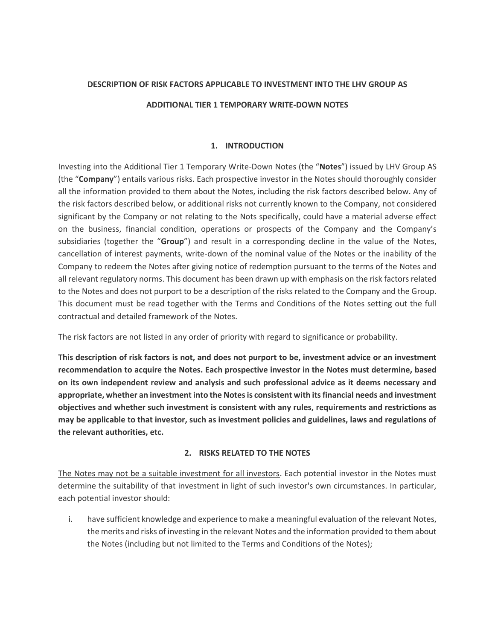## **DESCRIPTION OF RISK FACTORS APPLICABLE TO INVESTMENT INTO THE LHV GROUP AS**

## **ADDITIONAL TIER 1 TEMPORARY WRITE-DOWN NOTES**

## **1. INTRODUCTION**

Investing into the Additional Tier 1 Temporary Write-Down Notes (the "**Notes**") issued by LHV Group AS (the "**Company**") entails various risks. Each prospective investor in the Notes should thoroughly consider all the information provided to them about the Notes, including the risk factors described below. Any of the risk factors described below, or additional risks not currently known to the Company, not considered significant by the Company or not relating to the Nots specifically, could have a material adverse effect on the business, financial condition, operations or prospects of the Company and the Company's subsidiaries (together the "**Group**") and result in a corresponding decline in the value of the Notes, cancellation of interest payments, write-down of the nominal value of the Notes or the inability of the Company to redeem the Notes after giving notice of redemption pursuant to the terms of the Notes and all relevant regulatory norms. This document has been drawn up with emphasis on the risk factors related to the Notes and does not purport to be a description of the risks related to the Company and the Group. This document must be read together with the Terms and Conditions of the Notes setting out the full contractual and detailed framework of the Notes.

The risk factors are not listed in any order of priority with regard to significance or probability.

**This description of risk factors is not, and does not purport to be, investment advice or an investment recommendation to acquire the Notes. Each prospective investor in the Notes must determine, based on its own independent review and analysis and such professional advice as it deems necessary and appropriate, whether an investment into the Notes is consistent with its financial needs and investment objectives and whether such investment is consistent with any rules, requirements and restrictions as may be applicable to that investor, such as investment policies and guidelines, laws and regulations of the relevant authorities, etc.**

## **2. RISKS RELATED TO THE NOTES**

The Notes may not be a suitable investment for all investors. Each potential investor in the Notes must determine the suitability of that investment in light of such investor's own circumstances. In particular, each potential investor should:

i. have sufficient knowledge and experience to make a meaningful evaluation of the relevant Notes, the merits and risks of investing in the relevant Notes and the information provided to them about the Notes (including but not limited to the Terms and Conditions of the Notes);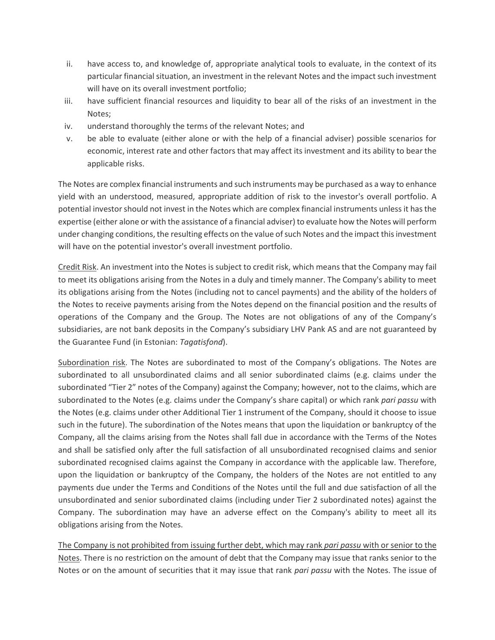- ii. have access to, and knowledge of, appropriate analytical tools to evaluate, in the context of its particular financial situation, an investment in the relevant Notes and the impact such investment will have on its overall investment portfolio;
- iii. have sufficient financial resources and liquidity to bear all of the risks of an investment in the Notes;
- iv. understand thoroughly the terms of the relevant Notes; and
- v. be able to evaluate (either alone or with the help of a financial adviser) possible scenarios for economic, interest rate and other factors that may affect its investment and its ability to bear the applicable risks.

The Notes are complex financial instruments and such instruments may be purchased as a way to enhance yield with an understood, measured, appropriate addition of risk to the investor's overall portfolio. A potential investor should not invest in the Notes which are complex financial instruments unless it has the expertise (either alone or with the assistance of a financial adviser) to evaluate how the Notes will perform under changing conditions, the resulting effects on the value of such Notes and the impact this investment will have on the potential investor's overall investment portfolio.

Credit Risk. An investment into the Notes is subject to credit risk, which means that the Company may fail to meet its obligations arising from the Notes in a duly and timely manner. The Company's ability to meet its obligations arising from the Notes (including not to cancel payments) and the ability of the holders of the Notes to receive payments arising from the Notes depend on the financial position and the results of operations of the Company and the Group. The Notes are not obligations of any of the Company's subsidiaries, are not bank deposits in the Company's subsidiary LHV Pank AS and are not guaranteed by the Guarantee Fund (in Estonian: *Tagatisfond*).

Subordination risk. The Notes are subordinated to most of the Company's obligations. The Notes are subordinated to all unsubordinated claims and all senior subordinated claims (e.g. claims under the subordinated "Tier 2" notes of the Company) against the Company; however, not to the claims, which are subordinated to the Notes (e.g. claims under the Company's share capital) or which rank *pari passu* with the Notes (e.g. claims under other Additional Tier 1 instrument of the Company, should it choose to issue such in the future). The subordination of the Notes means that upon the liquidation or bankruptcy of the Company, all the claims arising from the Notes shall fall due in accordance with the Terms of the Notes and shall be satisfied only after the full satisfaction of all unsubordinated recognised claims and senior subordinated recognised claims against the Company in accordance with the applicable law. Therefore, upon the liquidation or bankruptcy of the Company, the holders of the Notes are not entitled to any payments due under the Terms and Conditions of the Notes until the full and due satisfaction of all the unsubordinated and senior subordinated claims (including under Tier 2 subordinated notes) against the Company. The subordination may have an adverse effect on the Company's ability to meet all its obligations arising from the Notes.

The Company is not prohibited from issuing further debt, which may rank *pari passu* with or senior to the Notes. There is no restriction on the amount of debt that the Company may issue that ranks senior to the Notes or on the amount of securities that it may issue that rank *pari passu* with the Notes. The issue of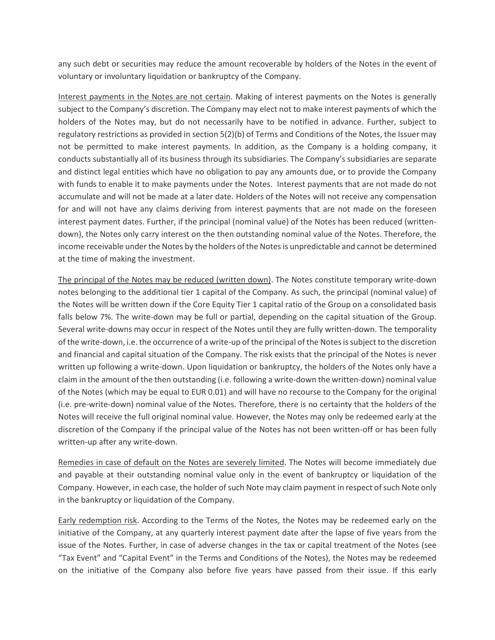any such debt or securities may reduce the amount recoverable by holders of the Notes in the event of voluntary or involuntary liquidation or bankruptcy of the Company.

Interest payments in the Notes are not certain. Making of interest payments on the Notes is generally subject to the Company's discretion. The Company may elect not to make interest payments of which the holders of the Notes may, but do not necessarily have to be notified in advance. Further, subject to regulatory restrictions as provided in section 5(2)(b) of Terms and Conditions of the Notes, the Issuer may not be permitted to make interest payments. In addition, as the Company is a holding company, it conducts substantially all of its business through its subsidiaries. The Company's subsidiaries are separate and distinct legal entities which have no obligation to pay any amounts due, or to provide the Company with funds to enable it to make payments under the Notes. Interest payments that are not made do not accumulate and will not be made at a later date. Holders of the Notes will not receive any compensation for and will not have any claims deriving from interest payments that are not made on the foreseen interest payment dates. Further, if the principal (nominal value) of the Notes has been reduced (writtendown), the Notes only carry interest on the then outstanding nominal value of the Notes. Therefore, the income receivable under the Notes by the holders of the Notesis unpredictable and cannot be determined at the time of making the investment.

The principal of the Notes may be reduced (written down). The Notes constitute temporary write-down notes belonging to the additional tier 1 capital of the Company. As such, the principal (nominal value) of the Notes will be written down if the Core Equity Tier 1 capital ratio of the Group on a consolidated basis falls below 7%. The write-down may be full or partial, depending on the capital situation of the Group. Several write-downs may occur in respect of the Notes until they are fully written-down. The temporality of the write-down, i.e. the occurrence of a write-up of the principal of the Notes is subject to the discretion and financial and capital situation of the Company. The risk exists that the principal of the Notes is never written up following a write-down. Upon liquidation or bankruptcy, the holders of the Notes only have a claim in the amount of the then outstanding (i.e. following a write-down the written-down) nominal value of the Notes (which may be equal to EUR 0.01) and will have no recourse to the Company for the original (i.e. pre-write-down) nominal value of the Notes. Therefore, there is no certainty that the holders of the Notes will receive the full original nominal value. However, the Notes may only be redeemed early at the discretion of the Company if the principal value of the Notes has not been written-off or has been fully written-up after any write-down.

Remedies in case of default on the Notes are severely limited. The Notes will become immediately due and payable at their outstanding nominal value only in the event of bankruptcy or liquidation of the Company. However, in each case, the holder of such Note may claim payment in respect of such Note only in the bankruptcy or liquidation of the Company.

Early redemption risk. According to the Terms of the Notes, the Notes may be redeemed early on the initiative of the Company, at any quarterly interest payment date after the lapse of five years from the issue of the Notes. Further, in case of adverse changes in the tax or capital treatment of the Notes (see "Tax Event" and "Capital Event" in the Terms and Conditions of the Notes), the Notes may be redeemed on the initiative of the Company also before five years have passed from their issue. If this early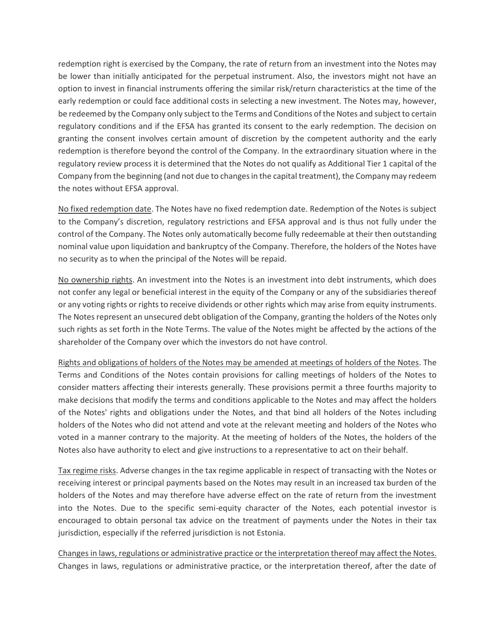redemption right is exercised by the Company, the rate of return from an investment into the Notes may be lower than initially anticipated for the perpetual instrument. Also, the investors might not have an option to invest in financial instruments offering the similar risk/return characteristics at the time of the early redemption or could face additional costs in selecting a new investment. The Notes may, however, be redeemed by the Company only subject to the Terms and Conditions of the Notes and subject to certain regulatory conditions and if the EFSA has granted its consent to the early redemption. The decision on granting the consent involves certain amount of discretion by the competent authority and the early redemption is therefore beyond the control of the Company. In the extraordinary situation where in the regulatory review process it is determined that the Notes do not qualify as Additional Tier 1 capital of the Company from the beginning (and not due to changes in the capital treatment), the Company may redeem the notes without EFSA approval.

No fixed redemption date. The Notes have no fixed redemption date. Redemption of the Notes is subject to the Company's discretion, regulatory restrictions and EFSA approval and is thus not fully under the control of the Company. The Notes only automatically become fully redeemable at their then outstanding nominal value upon liquidation and bankruptcy of the Company. Therefore, the holders of the Notes have no security as to when the principal of the Notes will be repaid.

No ownership rights. An investment into the Notes is an investment into debt instruments, which does not confer any legal or beneficial interest in the equity of the Company or any of the subsidiaries thereof or any voting rights or rights to receive dividends or other rights which may arise from equity instruments. The Notes represent an unsecured debt obligation of the Company, granting the holders of the Notes only such rights as set forth in the Note Terms. The value of the Notes might be affected by the actions of the shareholder of the Company over which the investors do not have control.

Rights and obligations of holders of the Notes may be amended at meetings of holders of the Notes. The Terms and Conditions of the Notes contain provisions for calling meetings of holders of the Notes to consider matters affecting their interests generally. These provisions permit a three fourths majority to make decisions that modify the terms and conditions applicable to the Notes and may affect the holders of the Notes' rights and obligations under the Notes, and that bind all holders of the Notes including holders of the Notes who did not attend and vote at the relevant meeting and holders of the Notes who voted in a manner contrary to the majority. At the meeting of holders of the Notes, the holders of the Notes also have authority to elect and give instructions to a representative to act on their behalf.

Tax regime risks. Adverse changes in the tax regime applicable in respect of transacting with the Notes or receiving interest or principal payments based on the Notes may result in an increased tax burden of the holders of the Notes and may therefore have adverse effect on the rate of return from the investment into the Notes. Due to the specific semi-equity character of the Notes, each potential investor is encouraged to obtain personal tax advice on the treatment of payments under the Notes in their tax jurisdiction, especially if the referred jurisdiction is not Estonia.

Changes in laws, regulations or administrative practice or the interpretation thereof may affect the Notes. Changes in laws, regulations or administrative practice, or the interpretation thereof, after the date of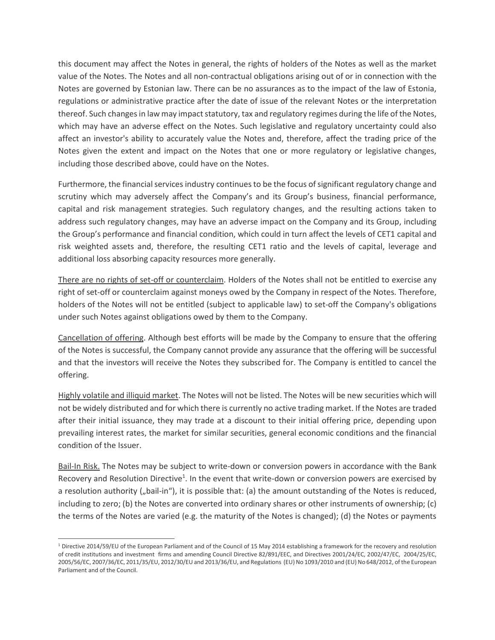this document may affect the Notes in general, the rights of holders of the Notes as well as the market value of the Notes. The Notes and all non-contractual obligations arising out of or in connection with the Notes are governed by Estonian law. There can be no assurances as to the impact of the law of Estonia, regulations or administrative practice after the date of issue of the relevant Notes or the interpretation thereof. Such changes in law may impact statutory, tax and regulatory regimes during the life of the Notes, which may have an adverse effect on the Notes. Such legislative and regulatory uncertainty could also affect an investor's ability to accurately value the Notes and, therefore, affect the trading price of the Notes given the extent and impact on the Notes that one or more regulatory or legislative changes, including those described above, could have on the Notes.

Furthermore, the financial services industry continues to be the focus of significant regulatory change and scrutiny which may adversely affect the Company's and its Group's business, financial performance, capital and risk management strategies. Such regulatory changes, and the resulting actions taken to address such regulatory changes, may have an adverse impact on the Company and its Group, including the Group's performance and financial condition, which could in turn affect the levels of CET1 capital and risk weighted assets and, therefore, the resulting CET1 ratio and the levels of capital, leverage and additional loss absorbing capacity resources more generally.

There are no rights of set-off or counterclaim. Holders of the Notes shall not be entitled to exercise any right of set-off or counterclaim against moneys owed by the Company in respect of the Notes. Therefore, holders of the Notes will not be entitled (subject to applicable law) to set-off the Company's obligations under such Notes against obligations owed by them to the Company.

Cancellation of offering. Although best efforts will be made by the Company to ensure that the offering of the Notes is successful, the Company cannot provide any assurance that the offering will be successful and that the investors will receive the Notes they subscribed for. The Company is entitled to cancel the offering.

Highly volatile and illiquid market. The Notes will not be listed. The Notes will be new securities which will not be widely distributed and for which there is currently no active trading market. If the Notes are traded after their initial issuance, they may trade at a discount to their initial offering price, depending upon prevailing interest rates, the market for similar securities, general economic conditions and the financial condition of the Issuer.

Bail-In Risk. The Notes may be subject to write-down or conversion powers in accordance with the Bank Recovery and Resolution Directive<sup>1</sup>. In the event that write-down or conversion powers are exercised by a resolution authority ("bail-in"), it is possible that: (a) the amount outstanding of the Notes is reduced, including to zero; (b) the Notes are converted into ordinary shares or other instruments of ownership; (c) the terms of the Notes are varied (e.g. the maturity of the Notes is changed); (d) the Notes or payments

 $\overline{a}$ 

 $1$  Directive 2014/59/EU of the European Parliament and of the Council of 15 May 2014 establishing a framework for the recovery and resolution of credit institutions and investment firms and amending Council Directive 82/891/EEC, and Directives 2001/24/EC, 2002/47/EC, 2004/25/EC, 2005/56/EC, 2007/36/EC, 2011/35/EU, 2012/30/EU and 2013/36/EU, and Regulations (EU) No 1093/2010 and (EU) No 648/2012, of the European Parliament and of the Council.